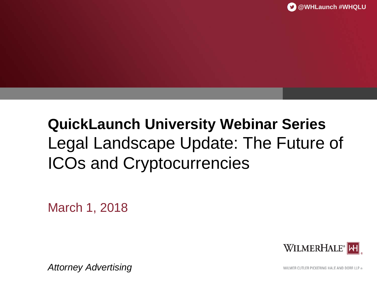## **QuickLaunch University Webinar Series** Legal Landscape Update: The Future of ICOs and Cryptocurrencies

March 1, 2018



*Attorney Advertising*

WILMER CUTLER PICKERING HALE AND DORR LLP ®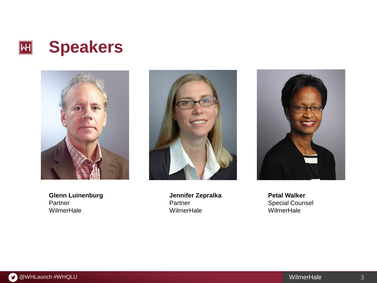



**Glenn Luinenburg** Partner **WilmerHale** 



**Jennifer Zepralka** Partner **WilmerHale** 



**Petal Walker** Special Counsel WilmerHale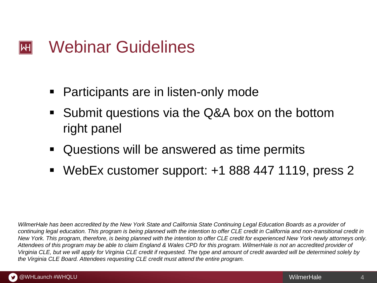#### Webinar Guidelines  $\left\| \mathsf{H} \right\|$

- Participants are in listen-only mode
- Submit questions via the Q&A box on the bottom right panel
- Questions will be answered as time permits
- WebEx customer support: +1 888 447 1119, press 2

*WilmerHale has been accredited by the New York State and California State Continuing Legal Education Boards as a provider of continuing legal education. This program is being planned with the intention to offer CLE credit in California and non-transitional credit in New York. This program, therefore, is being planned with the intention to offer CLE credit for experienced New York newly attorneys only. Attendees of this program may be able to claim England & Wales CPD for this program. WilmerHale is not an accredited provider of Virginia CLE, but we will apply for Virginia CLE credit if requested. The type and amount of credit awarded will be determined solely by the Virginia CLE Board. Attendees requesting CLE credit must attend the entire program.*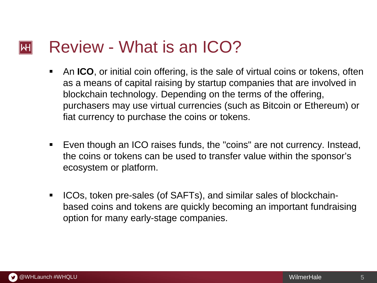#### Review - What is an ICO?  $\mathsf{I}\mathsf{H}\mathsf{I}$

- An **ICO**, or initial coin offering, is the sale of virtual coins or tokens, often as a means of capital raising by startup companies that are involved in blockchain technology. Depending on the terms of the offering, purchasers may use virtual currencies (such as Bitcoin or Ethereum) or fiat currency to purchase the coins or tokens.
- Even though an ICO raises funds, the "coins" are not currency. Instead, the coins or tokens can be used to transfer value within the sponsor's ecosystem or platform.
- ICOs, token pre-sales (of SAFTs), and similar sales of blockchainbased coins and tokens are quickly becoming an important fundraising option for many early-stage companies.

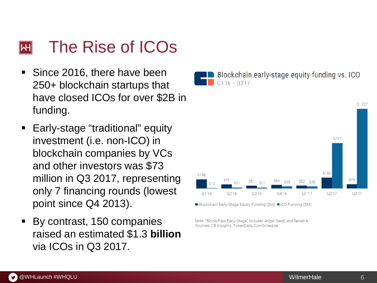#### The Rise of ICOs ⊮H

- Since 2016, there have been 250+ blockchain startups that have closed ICOs for over \$2B in funding.
- **Early-stage "traditional" equity** investment (i.e. non -ICO) in blockchain companies by VCs and other investors was \$73 million in Q3 2017, representing only 7 financing rounds (lowest point since Q4 2013).
- By contrast, 150 companies raised an estimated \$1.3 **billion** via ICOs in Q3 2017.





■Blockchain Early-Stage Equity Funding (\$M) ■ICO Funding (\$M)

Note: "Blockchain Early-Stage" includes Angel, Seed, and Series A. Sources: CB Insights, TokenData, CoinSchedule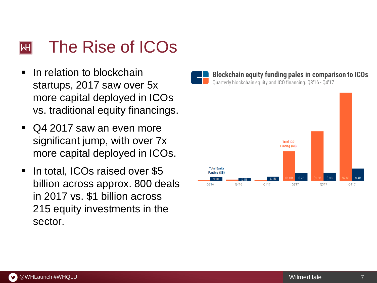#### The Rise of ICOs IWH

- **If** In relation to blockchain startups, 2017 saw over 5x more capital deployed in ICOs vs. traditional equity financings.
- Q4 2017 saw an even more significant jump, with over 7x more capital deployed in ICOs.
- In total, ICOs raised over \$5 billion across approx. 800 deals in 2017 vs. \$1 billion across 215 equity investments in the sector.

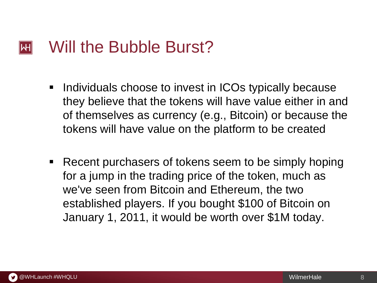#### Will the Bubble Burst? lWH

- **Individuals choose to invest in ICOs typically because** they believe that the tokens will have value either in and of themselves as currency (e.g., Bitcoin) or because the tokens will have value on the platform to be created
- Recent purchasers of tokens seem to be simply hoping for a jump in the trading price of the token, much as we've seen from Bitcoin and Ethereum, the two established players. If you bought \$100 of Bitcoin on January 1, 2011, it would be worth over \$1M today.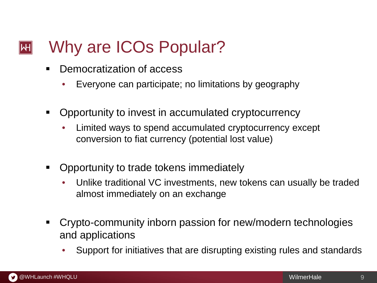#### Why are ICOs Popular?  $\left\Vert \mathsf{H}\right\Vert$

- Democratization of access
	- Everyone can participate; no limitations by geography
- **-** Opportunity to invest in accumulated cryptocurrency
	- Limited ways to spend accumulated cryptocurrency except conversion to fiat currency (potential lost value)
- **-** Opportunity to trade tokens immediately
	- Unlike traditional VC investments, new tokens can usually be traded almost immediately on an exchange
- Crypto-community inborn passion for new/modern technologies and applications
	- Support for initiatives that are disrupting existing rules and standards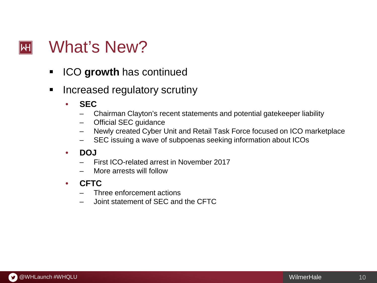#### What's New?  $|\mathsf{H}|$

- **ICO growth** has continued
- **EXEDED Increased regulatory scrutiny** 
	- **SEC**
		- Chairman Clayton's recent statements and potential gatekeeper liability
		- Official SEC guidance
		- Newly created Cyber Unit and Retail Task Force focused on ICO marketplace
		- SEC issuing a wave of subpoenas seeking information about ICOs
	- **DOJ**
		- First ICO-related arrest in November 2017
		- More arrests will follow
	- **CFTC**
		- Three enforcement actions
		- Joint statement of SEC and the CFTC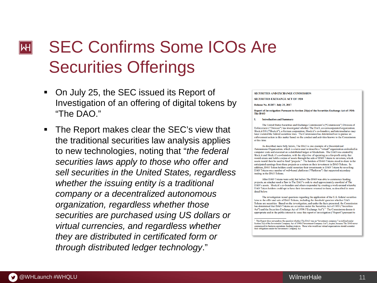## SEC Confirms Some ICOs Are ⊪Ψ Securities Offerings

- On July 25, the SEC issued its Report of Investigation of an offering of digital tokens by "The  $\mathsf{DAO}$ "
- The Report makes clear the SEC's view that the traditional securities law analysis applies to new technologies, noting that "*the federal securities laws apply to those who offer and sell securities in the United States, regardless whether the issuing entity is a traditional company or a decentralized autonomous organization, regardless whether those securities are purchased using US dollars or virtual currencies, and regardless whether they are distributed in certificated form or through distributed ledger technology*."

**SECURITIES AND EXCHANGE COMMISSION** 

**SECURITIES EXCHANGE ACT OF 1934** 

Release No. 81207 / July 25, 2017

Report of Investigation Pursuant to Section 21(a) of the Securities Exchange Act of 1934: The DAO

#### Т. **Introduction and Summary**

The United States Securities and Exchange Commission's ("Commission") Division of Enforcement ("Division") has investigated whether The DAO, an unincorporated organization; Slock.it UG ("Slock.it"), a German corporation; Slock.it's co-founders; and intermediaries may have violated the federal securities laws. The Commission has determined not to pursue an enforcement action in this matter based on the conduct and activities known to the Commission at this time.

As described more fully below, The DAO is one example of a Decentralized Autonomous Organization, which is a term used to describe a "virtual" organization embodied in computer code and executed on a distributed ledger or blockchain. The DAO was created by Slock.it and Slock.it's co-founders, with the objective of operating as a for-profit entity that would create and hold a corpus of assets through the sale of DAO Tokens to investors, which assets would then be used to fund "projects." The holders of DAO Tokens stood to share in the anticipated earnings from these projects as a return on their investment in DAO Tokens. In addition, DAO Token holders could monetize their investments in DAO Tokens by re-selling DAO Tokens on a number of web-based platforms ("Platforms") that supported secondary trading in the DAO Tokens.

After DAO Tokens were sold, but before The DAO was able to commence funding projects, an attacker used a flaw in The DAO's code to steal approximately one-third of The DAO's assets. Slock.it's co-founders and others responded by creating a work-around whereby DAO Token holders could opt to have their investment returned to them, as described in more detail below.

The investigation raised questions regarding the application of the U.S. federal securities laws to the offer and sale of DAO Tokens, including the threshold question whether DAO Tokens are securities. Based on the investigation, and under the facts presented, the Commission has determined that DAO Tokens are securities under the Securities Act of 1933 ("Securities Act") and the Securities Exchange Act of 1934 ("Exchange Act").<sup>1</sup> The Commission deems it appropriate and in the public interest to issue this report of investigation ("Report") pursuant to

<sup>&</sup>lt;sup>1</sup> This Report does not analyze the question whether The DAO was an "investment company," as defined under Section  $3(a)$  of the Investment Company Act of 1940 ("Investment Company Act"), in part, because The DAO never commenced its business operations funding projects. Those who would use virtual organizations should conside their obligations under the Investment Company Act.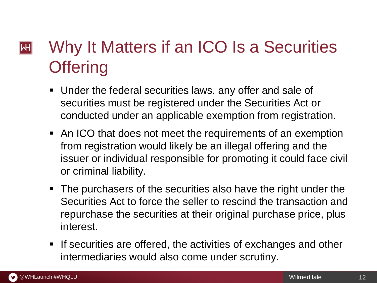## Why It Matters if an ICO Is a Securities  $\left\Vert \mathsf{H}\right\Vert$ **Offering**

- Under the federal securities laws, any offer and sale of securities must be registered under the Securities Act or conducted under an applicable exemption from registration.
- An ICO that does not meet the requirements of an exemption from registration would likely be an illegal offering and the issuer or individual responsible for promoting it could face civil or criminal liability.
- The purchasers of the securities also have the right under the Securities Act to force the seller to rescind the transaction and repurchase the securities at their original purchase price, plus interest.
- **If securities are offered, the activities of exchanges and other** intermediaries would also come under scrutiny.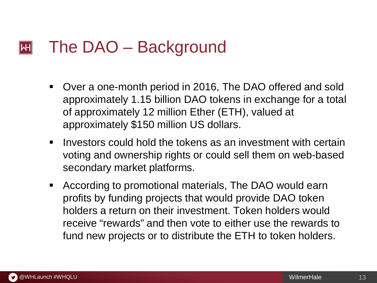#### The DAO – Background  $\left\| \mathsf{H} \right\|$

- Over a one-month period in 2016, The DAO offered and sold approximately 1.15 billion DAO tokens in exchange for a total of approximately 12 million Ether (ETH), valued at approximately \$150 million US dollars.
- Investors could hold the tokens as an investment with certain voting and ownership rights or could sell them on web-based secondary market platforms.
- According to promotional materials, The DAO would earn profits by funding projects that would provide DAO token holders a return on their investment. Token holders would receive "rewards" and then vote to either use the rewards to fund new projects or to distribute the ETH to token holders.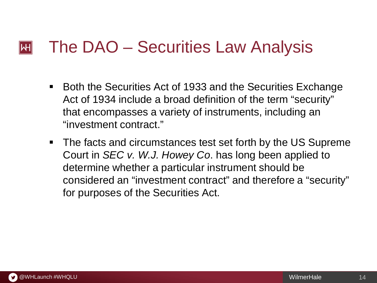#### The DAO – Securities Law Analysis  $\left\| \mathsf{H} \right\|$

- Both the Securities Act of 1933 and the Securities Exchange Act of 1934 include a broad definition of the term "security" that encompasses a variety of instruments, including an "investment contract."
- **The facts and circumstances test set forth by the US Supreme** Court in *SEC v. W.J. Howey Co*. has long been applied to determine whether a particular instrument should be considered an "investment contract" and therefore a "security" for purposes of the Securities Act.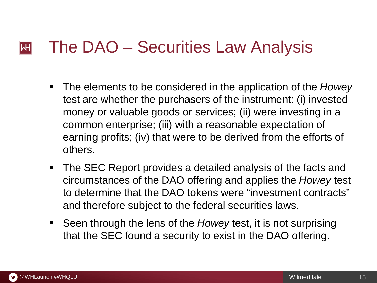#### The DAO – Securities Law Analysis  $\mathsf{I}\mathsf{H}$

- The elements to be considered in the application of the *Howey* test are whether the purchasers of the instrument: (i) invested money or valuable goods or services; (ii) were investing in a common enterprise; (iii) with a reasonable expectation of earning profits; (iv) that were to be derived from the efforts of others.
- The SEC Report provides a detailed analysis of the facts and circumstances of the DAO offering and applies the *Howey* test to determine that the DAO tokens were "investment contracts" and therefore subject to the federal securities laws.
- Seen through the lens of the *Howey* test, it is not surprising that the SEC found a security to exist in the DAO offering.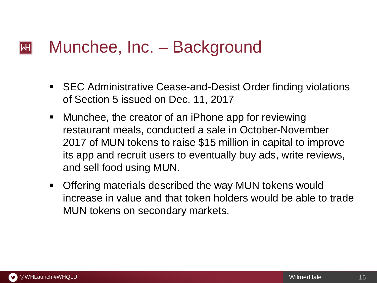#### Munchee, Inc. – Background  $\left\Vert \mathsf{H}\right\Vert$

- SEC Administrative Cease-and-Desist Order finding violations of Section 5 issued on Dec. 11, 2017
- Munchee, the creator of an iPhone app for reviewing restaurant meals, conducted a sale in October-November 2017 of MUN tokens to raise \$15 million in capital to improve its app and recruit users to eventually buy ads, write reviews, and sell food using MUN.
- Offering materials described the way MUN tokens would increase in value and that token holders would be able to trade MUN tokens on secondary markets.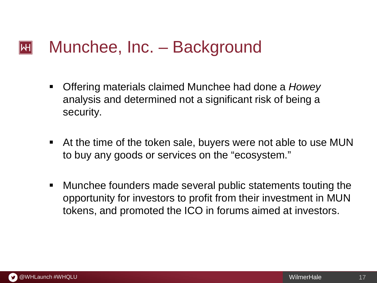#### Munchee, Inc. – Background  $\left\Vert \mathsf{H}\right\Vert$

- Offering materials claimed Munchee had done a *Howey* analysis and determined not a significant risk of being a security.
- At the time of the token sale, buyers were not able to use MUN to buy any goods or services on the "ecosystem."
- Munchee founders made several public statements touting the opportunity for investors to profit from their investment in MUN tokens, and promoted the ICO in forums aimed at investors.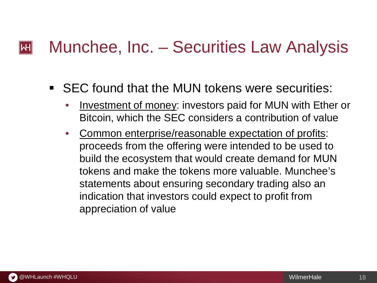#### Munchee, Inc. – Securities Law Analysis  $\mathsf{|\mathsf{H}|}$

## SEC found that the MUN tokens were securities:

- Investment of money: investors paid for MUN with Ether or Bitcoin, which the SEC considers a contribution of value
- Common enterprise/reasonable expectation of profits: proceeds from the offering were intended to be used to build the ecosystem that would create demand for MUN tokens and make the tokens more valuable. Munchee's statements about ensuring secondary trading also an indication that investors could expect to profit from appreciation of value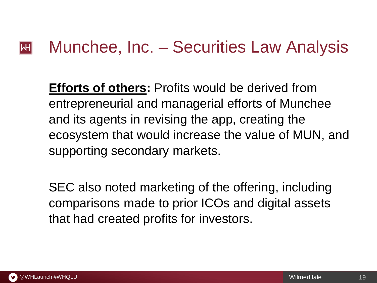#### Munchee, Inc. – Securities Law Analysis  $\left\| \mathsf{H} \right\|$

**Efforts of others:** Profits would be derived from entrepreneurial and managerial efforts of Munchee and its agents in revising the app, creating the ecosystem that would increase the value of MUN, and supporting secondary markets.

SEC also noted marketing of the offering, including comparisons made to prior ICOs and digital assets that had created profits for investors.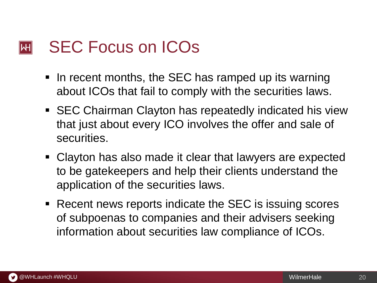#### SEC Focus on ICOs  $\left\Vert \mathsf{H}\right\Vert$

- In recent months, the SEC has ramped up its warning about ICOs that fail to comply with the securities laws.
- SEC Chairman Clayton has repeatedly indicated his view that just about every ICO involves the offer and sale of securities.
- Clayton has also made it clear that lawyers are expected to be gatekeepers and help their clients understand the application of the securities laws.
- Recent news reports indicate the SEC is issuing scores of subpoenas to companies and their advisers seeking information about securities law compliance of ICOs.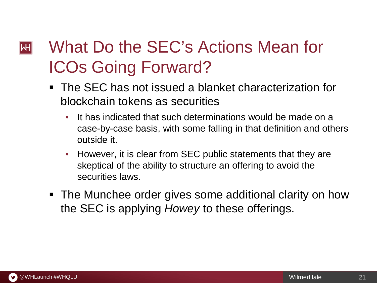## What Do the SEC's Actions Mean for  $\left\Vert \mathsf{H}\right\Vert$ ICOs Going Forward?

- The SEC has not issued a blanket characterization for blockchain tokens as securities
	- It has indicated that such determinations would be made on a case-by-case basis, with some falling in that definition and others outside it.
	- However, it is clear from SEC public statements that they are skeptical of the ability to structure an offering to avoid the securities laws.
- The Munchee order gives some additional clarity on how the SEC is applying *Howey* to these offerings.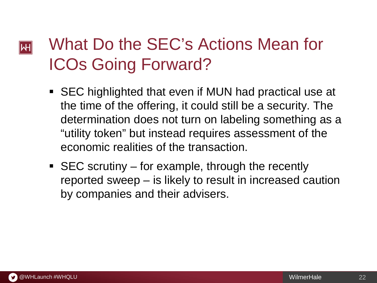## What Do the SEC's Actions Mean for  $|\!|\mathsf{W}|\!|$ ICOs Going Forward?

- SEC highlighted that even if MUN had practical use at the time of the offering, it could still be a security. The determination does not turn on labeling something as a "utility token" but instead requires assessment of the economic realities of the transaction.
- $\blacksquare$  SEC scrutiny for example, through the recently reported sweep – is likely to result in increased caution by companies and their advisers.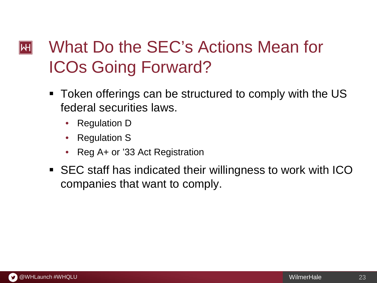## What Do the SEC's Actions Mean for  $\left\Vert \mathsf{H}\right\Vert$ ICOs Going Forward?

- Token offerings can be structured to comply with the US federal securities laws.
	- Regulation D
	- Regulation S
	- Reg A+ or '33 Act Registration
- SEC staff has indicated their willingness to work with ICO companies that want to comply.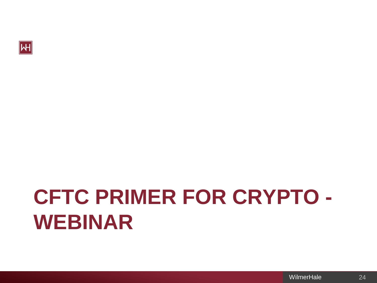

# **CFTC PRIMER FOR CRYPTO - WEBINAR**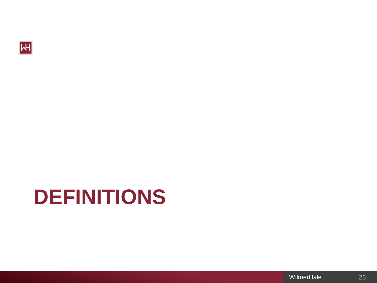

## **DEFINITIONS**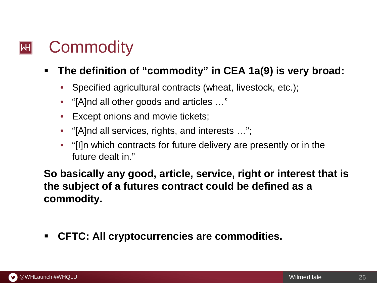#### **Commodity**  $\left\Vert \mathsf{H}\right\Vert$

## **The definition of "commodity" in CEA 1a(9) is very broad:**

- Specified agricultural contracts (wheat, livestock, etc.);
- "[A]nd all other goods and articles …"
- Except onions and movie tickets;
- "[A]nd all services, rights, and interests …";
- "[I]n which contracts for future delivery are presently or in the future dealt in."

**So basically any good, article, service, right or interest that is the subject of a futures contract could be defined as a commodity.**

**CFTC: All cryptocurrencies are commodities.**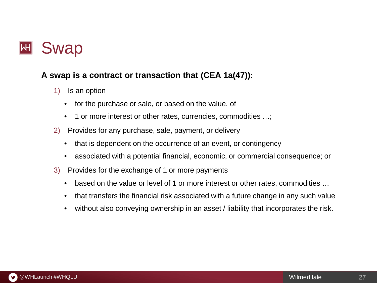

#### **A swap is a contract or transaction that (CEA 1a(47)):**

- 1) Is an option
	- for the purchase or sale, or based on the value, of
	- 1 or more interest or other rates, currencies, commodities ...;
- 2) Provides for any purchase, sale, payment, or delivery
	- that is dependent on the occurrence of an event, or contingency
	- associated with a potential financial, economic, or commercial consequence; or
- 3) Provides for the exchange of 1 or more payments
	- based on the value or level of 1 or more interest or other rates, commodities …
	- that transfers the financial risk associated with a future change in any such value
	- without also conveying ownership in an asset / liability that incorporates the risk.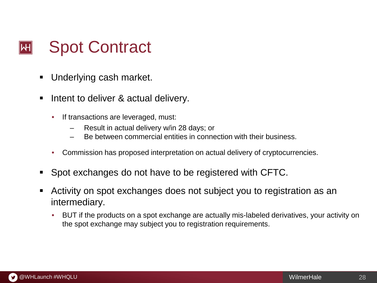

- Underlying cash market.
- Intent to deliver & actual delivery.
	- If transactions are leveraged, must:
		- Result in actual delivery w/in 28 days; or
		- Be between commercial entities in connection with their business.
	- Commission has proposed interpretation on actual delivery of cryptocurrencies.
- Spot exchanges do not have to be registered with CFTC.
- Activity on spot exchanges does not subject you to registration as an intermediary.
	- BUT if the products on a spot exchange are actually mis-labeled derivatives, your activity on the spot exchange may subject you to registration requirements.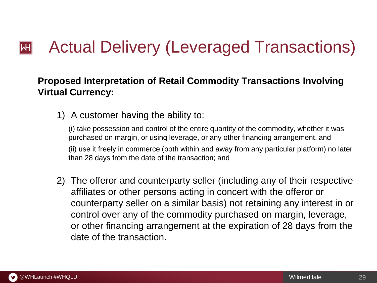#### Actual Delivery (Leveraged Transactions)  $\mathsf{I}\mathsf{H}\mathsf{I}$

### **Proposed Interpretation of Retail Commodity Transactions Involving Virtual Currency:**

1) A customer having the ability to:

(i) take possession and control of the entire quantity of the commodity, whether it was purchased on margin, or using leverage, or any other financing arrangement, and (ii) use it freely in commerce (both within and away from any particular platform) no later than 28 days from the date of the transaction; and

2) The offeror and counterparty seller (including any of their respective affiliates or other persons acting in concert with the offeror or counterparty seller on a similar basis) not retaining any interest in or control over any of the commodity purchased on margin, leverage, or other financing arrangement at the expiration of 28 days from the date of the transaction.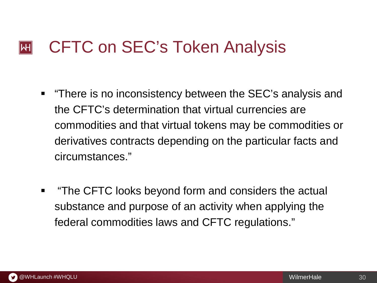#### CFTC on SEC's Token Analysis  $\left\Vert \mathsf{H}\right\Vert$

- **There is no inconsistency between the SEC's analysis and** the CFTC's determination that virtual currencies are commodities and that virtual tokens may be commodities or derivatives contracts depending on the particular facts and circumstances."
- **The CFTC looks beyond form and considers the actual** substance and purpose of an activity when applying the federal commodities laws and CFTC regulations."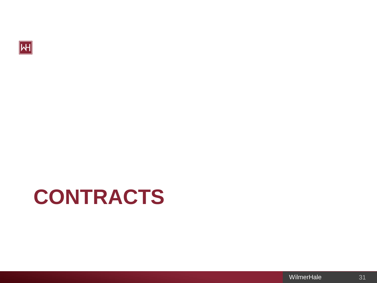

# **CONTRACTS**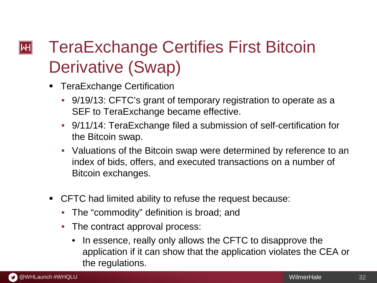## TeraExchange Certifies First Bitcoin  $\left\Vert \mathsf{H}\right\Vert$ Derivative (Swap)

- TeraExchange Certification
	- 9/19/13: CFTC's grant of temporary registration to operate as a SEF to TeraExchange became effective.
	- 9/11/14: TeraExchange filed a submission of self-certification for the Bitcoin swap.
	- Valuations of the Bitcoin swap were determined by reference to an index of bids, offers, and executed transactions on a number of Bitcoin exchanges.
- CFTC had limited ability to refuse the request because:
	- The "commodity" definition is broad; and
	- The contract approval process:
		- In essence, really only allows the CFTC to disapprove the application if it can show that the application violates the CEA or the regulations.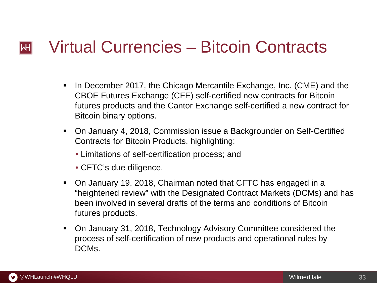#### Virtual Currencies – Bitcoin Contracts  $\left\vert \mathsf{H}\right\vert$

- In December 2017, the Chicago Mercantile Exchange, Inc. (CME) and the CBOE Futures Exchange (CFE) self-certified new contracts for Bitcoin futures products and the Cantor Exchange self-certified a new contract for Bitcoin binary options.
- On January 4, 2018, Commission issue a Backgrounder on Self-Certified Contracts for Bitcoin Products, highlighting:
	- Limitations of self-certification process; and
	- CFTC's due diligence.
- On January 19, 2018, Chairman noted that CFTC has engaged in a "heightened review" with the Designated Contract Markets (DCMs) and has been involved in several drafts of the terms and conditions of Bitcoin futures products.
- On January 31, 2018, Technology Advisory Committee considered the process of self-certification of new products and operational rules by DCMs.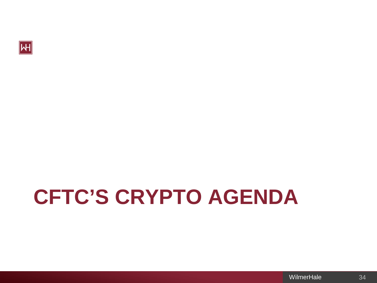

# **CFTC'S CRYPTO AGENDA**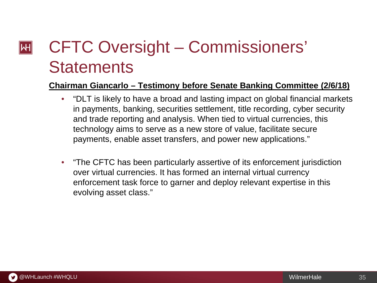## CFTC Oversight – Commissioners'  $\left\vert \mathsf{H}\right\vert$ **Statements**

#### **Chairman Giancarlo – Testimony before Senate Banking Committee (2/6/18)**

- "DLT is likely to have a broad and lasting impact on global financial markets in payments, banking, securities settlement, title recording, cyber security and trade reporting and analysis. When tied to virtual currencies, this technology aims to serve as a new store of value, facilitate secure payments, enable asset transfers, and power new applications."
- "The CFTC has been particularly assertive of its enforcement jurisdiction over virtual currencies. It has formed an internal virtual currency enforcement task force to garner and deploy relevant expertise in this evolving asset class."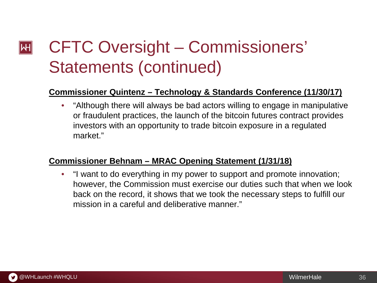## CFTC Oversight – Commissioners'  $\left\vert \mathsf{H}\right\vert$ Statements (continued)

#### **Commissioner Quintenz – Technology & Standards Conference (11/30/17)**

• "Although there will always be bad actors willing to engage in manipulative or fraudulent practices, the launch of the bitcoin futures contract provides investors with an opportunity to trade bitcoin exposure in a regulated market."

#### **Commissioner Behnam – MRAC Opening Statement (1/31/18)**

• "I want to do everything in my power to support and promote innovation; however, the Commission must exercise our duties such that when we look back on the record, it shows that we took the necessary steps to fulfill our mission in a careful and deliberative manner."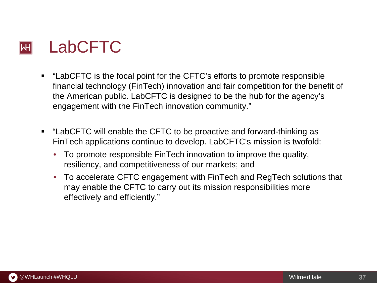

- "LabCFTC is the focal point for the CFTC's efforts to promote responsible financial technology (FinTech) innovation and fair competition for the benefit of the American public. LabCFTC is designed to be the hub for the agency's engagement with the FinTech innovation community."
- "LabCFTC will enable the CFTC to be proactive and forward-thinking as FinTech applications continue to develop. LabCFTC's mission is twofold:
	- To promote responsible FinTech innovation to improve the quality, resiliency, and competitiveness of our markets; and
	- To accelerate CFTC engagement with FinTech and RegTech solutions that may enable the CFTC to carry out its mission responsibilities more effectively and efficiently."

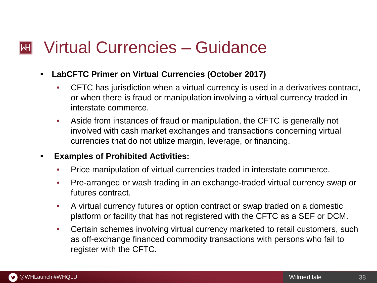#### Virtual Currencies – Guidance  $\mathsf{H}\mathsf{H}$

- **LabCFTC Primer on Virtual Currencies (October 2017)**
	- CFTC has jurisdiction when a virtual currency is used in a derivatives contract, or when there is fraud or manipulation involving a virtual currency traded in interstate commerce.
	- Aside from instances of fraud or manipulation, the CFTC is generally not involved with cash market exchanges and transactions concerning virtual currencies that do not utilize margin, leverage, or financing.

#### **Examples of Prohibited Activities:**

- Price manipulation of virtual currencies traded in interstate commerce.
- Pre-arranged or wash trading in an exchange-traded virtual currency swap or futures contract.
- A virtual currency futures or option contract or swap traded on a domestic platform or facility that has not registered with the CFTC as a SEF or DCM.
- Certain schemes involving virtual currency marketed to retail customers, such as off-exchange financed commodity transactions with persons who fail to register with the CFTC.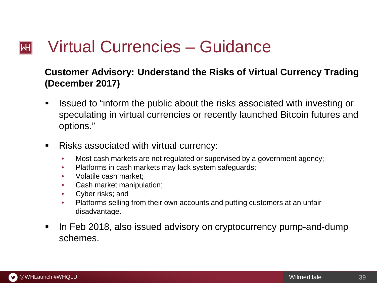#### Virtual Currencies – Guidance  $\left\vert \mathsf{H}\right\vert$

### **Customer Advisory: Understand the Risks of Virtual Currency Trading (December 2017)**

- Issued to "inform the public about the risks associated with investing or speculating in virtual currencies or recently launched Bitcoin futures and options."
- Risks associated with virtual currency:
	- Most cash markets are not regulated or supervised by a government agency;
	- Platforms in cash markets may lack system safeguards;
	- Volatile cash market;
	- Cash market manipulation;
	- Cyber risks; and
	- Platforms selling from their own accounts and putting customers at an unfair disadvantage.
- In Feb 2018, also issued advisory on cryptocurrency pump-and-dump schemes.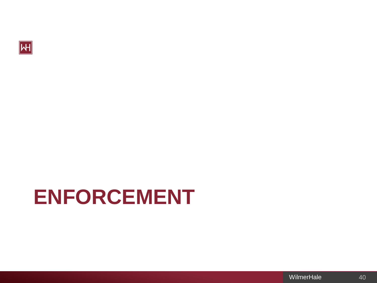

# **ENFORCEMENT**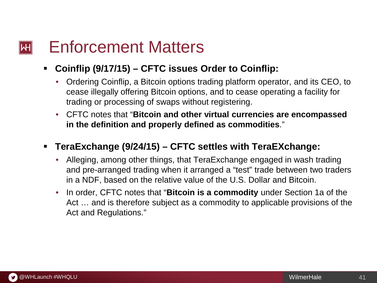#### Enforcement Matters  $\left\| \mathsf{H} \right\|$

### **Coinflip (9/17/15) – CFTC issues Order to Coinflip:**

- Ordering Coinflip, a Bitcoin options trading platform operator, and its CEO, to cease illegally offering Bitcoin options, and to cease operating a facility for trading or processing of swaps without registering.
- CFTC notes that "**Bitcoin and other virtual currencies are encompassed in the definition and properly defined as commodities**."

### **TeraExchange (9/24/15) – CFTC settles with TeraEXchange:**

- Alleging, among other things, that TeraExchange engaged in wash trading and pre-arranged trading when it arranged a "test" trade between two traders in a NDF, based on the relative value of the U.S. Dollar and Bitcoin.
- In order, CFTC notes that "**Bitcoin is a commodity** under Section 1a of the Act … and is therefore subject as a commodity to applicable provisions of the Act and Regulations."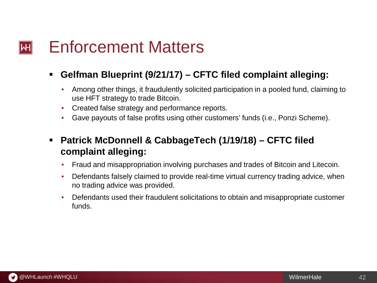#### Enforcement Matters  $\left\vert \mathsf{H}\right\vert$

### **Gelfman Blueprint (9/21/17) – CFTC filed complaint alleging:**

- Among other things, it fraudulently solicited participation in a pooled fund, claiming to use HFT strategy to trade Bitcoin.
- Created false strategy and performance reports.
- Gave payouts of false profits using other customers' funds (i.e., Ponzi Scheme).
- **Patrick McDonnell & CabbageTech (1/19/18) – CFTC filed complaint alleging:**
	- Fraud and misappropriation involving purchases and trades of Bitcoin and Litecoin.
	- Defendants falsely claimed to provide real-time virtual currency trading advice, when no trading advice was provided.
	- Defendants used their fraudulent solicitations to obtain and misappropriate customer funds.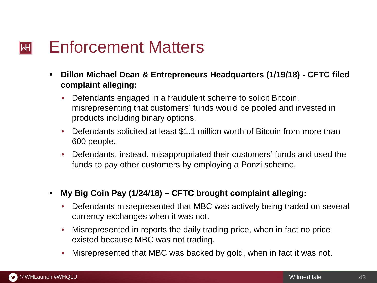#### Enforcement Matters  $\left\| \mathsf{H} \right\|$

- **Dillon Michael Dean & Entrepreneurs Headquarters (1/19/18) - CFTC filed complaint alleging:** 
	- Defendants engaged in a fraudulent scheme to solicit Bitcoin, misrepresenting that customers' funds would be pooled and invested in products including binary options.
	- Defendants solicited at least \$1.1 million worth of Bitcoin from more than 600 people.
	- Defendants, instead, misappropriated their customers' funds and used the funds to pay other customers by employing a Ponzi scheme.
- **My Big Coin Pay (1/24/18) – CFTC brought complaint alleging:**
	- Defendants misrepresented that MBC was actively being traded on several currency exchanges when it was not.
	- Misrepresented in reports the daily trading price, when in fact no price existed because MBC was not trading.
	- Misrepresented that MBC was backed by gold, when in fact it was not.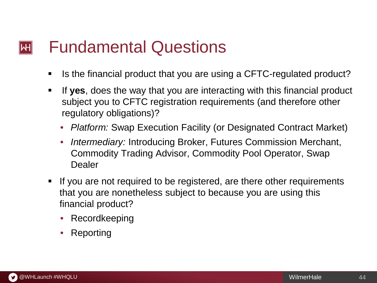#### Fundamental Questions  $\left\Vert \mathsf{H}\right\Vert$

- If Is the financial product that you are using a CFTC-regulated product?
- If **yes**, does the way that you are interacting with this financial product subject you to CFTC registration requirements (and therefore other regulatory obligations)?
	- *Platform:* Swap Execution Facility (or Designated Contract Market)
	- *Intermediary:* Introducing Broker, Futures Commission Merchant, Commodity Trading Advisor, Commodity Pool Operator, Swap Dealer
- If you are not required to be registered, are there other requirements that you are nonetheless subject to because you are using this financial product?
	- Recordkeeping
	- **Reporting**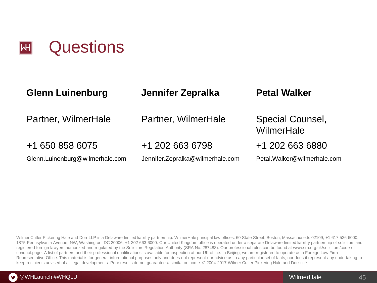

| <b>Glenn Luinenburg</b>         | Jennifer Zepralka                | <b>Petal Walker</b>            |
|---------------------------------|----------------------------------|--------------------------------|
| Partner, WilmerHale             | Partner, WilmerHale              | Special Counsel,<br>WilmerHale |
| +1 650 858 6075                 | +1 202 663 6798                  | +1 202 663 6880                |
| Glenn.Luinenburg@wilmerhale.com | Jennifer.Zepralka@wilmerhale.com | Petal.Walker@wilmerhale.com    |

Wilmer Cutler Pickering Hale and Dorr LLP is a Delaware limited liability partnership. WilmerHale principal law offices: 60 State Street, Boston, Massachusetts 02109, +1 617 526 6000; 1875 Pennsylvania Avenue, NW, Washington, DC 20006, +1 202 663 6000. Our United Kingdom office is operated under a separate Delaware limited liability partnership of solicitors and registered foreign lawyers authorized and regulated by the Solicitors Regulation Authority (SRA No. 287488). Our professional rules can be found at www.sra.org.uk/solicitors/code-ofconduct.page. A list of partners and their professional qualifications is available for inspection at our UK office. In Beijing, we are registered to operate as a Foreign Law Firm Representative Office. This material is for general informational purposes only and does not represent our advice as to any particular set of facts; nor does it represent any undertaking to keep recipients advised of all legal developments. Prior results do not guarantee a similar outcome. © 2004-2017 Wilmer Cutler Pickering Hale and Dorr LLP